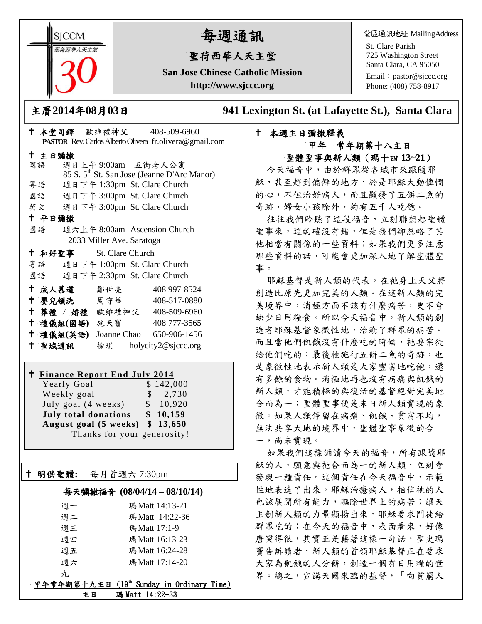**SICCM 曾荷西華人天主堂** 

# 每週通訊

# 聖荷西華人天主堂

**San Jose Chinese Catholic Mission http://www.sjccc.org**

堂區通訊地址 MailingAddress

St. Clare Parish 725 Washington Street Santa Clara, CA 95050

Email: [pastor@sjccc.org](mailto:pastor@sjccc.org) Phone: (408) 758-8917

主曆**2014**年**08**月**03**日 **941 Lexington St. (at Lafayette St.), Santa Clara** 

# 本週主日彌撒釋義 甲年 常年期第十八主日 聖體聖事與新人類(瑪十四 **13~21**)

今天福音中,由於群眾從各城市來跟隨耶 穌,甚至趕到偏僻的地方,於是耶穌大動憐憫 的心,不但治好病人,而且顯發了五餅二魚的 奇跡,婦女小孩除外,約有五千人吃飽。

往往我們聆聽了這段福音,立刻聯想起聖體 聖事來,這的確沒有錯,但是我們卻忽略了其 他相當有關係的一些資料;如果我們更多注意 那些資料的話,可能會更加深入地了解聖體聖 事。

耶穌基督是新人類的代表,在祂身上天父將 創造比原先更加完美的人類。在這新人類的完 美境界中,消極方面不該有什麼病苦,更不會 缺少日用糧食。所以今天福音中,新人類的創 造者耶穌基督象徵性地,治癒了群眾的病苦。 而且當他們飢餓沒有什麼吃的時候,祂要宗徒 給他們吃的;最後祂施行五餅二魚的奇跡,也 是象徵性地表示新人類是大家豐富地吃飽,還 有多餘的食物。消極地再也沒有病痛與飢餓的 新人類,才能積極的與復活的基督絕對完美地 合而為一;聖體聖事便是末日新人類實現的象 徵。如果人類停留在病痛、飢餓、貧富不均, 無法共享大地的境界中,聖體聖事象徵的合 一,尚未實現。

如果我們這樣誦讀今天的福音,所有跟隨耶 穌的人,願意與祂合而為一的新人類,立刻會 發現一種責任。這個責任在今天福音中,示範 性地表達了出來。耶穌治癒病人,相信祂的人 也該展開所有能力,驅除世界上的病苦;讓天 主創新人類的力量顯揚出來。耶穌要求門徒給 群眾吃的;在今天的福音中,表面看來,好像 唐突得很,其實正是藉著這樣一句話,聖史瑪 竇告訴讀者,新人類的首領耶穌基督正在要求 大家為飢餓的人分餅,創造一個有日用糧的世 界。總之,宣講天國來臨的基督,「向貧窮人

|        |        | $\mathbf{r}$ $\mathbf{r}$ $\mathbf{r}$ $\mathbf{r}$ $\mathbf{r}$ $\mathbf{r}$ $\mathbf{r}$ $\mathbf{r}$ $\mathbf{r}$ $\mathbf{r}$ $\mathbf{r}$ |                            |  |                                                         |  |
|--------|--------|------------------------------------------------------------------------------------------------------------------------------------------------|----------------------------|--|---------------------------------------------------------|--|
|        |        |                                                                                                                                                |                            |  | PASTOR Rev. Carlos Alberto Olivera fr.olivera@gmail.com |  |
|        | 十 主日彌撒 |                                                                                                                                                |                            |  |                                                         |  |
|        | 國語     |                                                                                                                                                |                            |  | 週日上午9:00am 五街老人公寓                                       |  |
|        |        |                                                                                                                                                |                            |  | 85 S. 5 <sup>th</sup> St. San Jose (Jeanne D'Arc Manor) |  |
|        | 粤語     |                                                                                                                                                |                            |  | 週日下午 1:30pm St. Clare Church                            |  |
|        |        |                                                                                                                                                |                            |  | 國語 週日下午 3:00pm St. Clare Church                         |  |
|        |        |                                                                                                                                                |                            |  | 英文 週日下午 3:00pm St. Clare Church                         |  |
| 十 平日彌撒 |        |                                                                                                                                                |                            |  |                                                         |  |
|        | 國語     |                                                                                                                                                |                            |  | 週六上午 8:00am Ascension Church                            |  |
|        |        |                                                                                                                                                | 12033 Miller Ave. Saratoga |  |                                                         |  |
|        |        | + 和好聖事 St. Clare Church                                                                                                                        |                            |  |                                                         |  |
|        |        |                                                                                                                                                |                            |  | 粵語   週日下午 1:00pm St. Clare Church                       |  |
|        |        |                                                                                                                                                |                            |  | 國語 週日下午 2:30pm St. Clare Church                         |  |
|        |        | 十 成人慕道                                                                                                                                         | 鄒世亮                        |  | 408 997-8524                                            |  |
| t      |        | 嬰兒領洗 周守華                                                                                                                                       |                            |  | 408-517-0880                                            |  |
|        |        |                                                                                                                                                |                            |  | + 葬禮 / 婚禮 歐維禮神父 408-509-6960                            |  |
|        |        | 十 禮儀組(國語) 施天寶                                                                                                                                  |                            |  | 408 777-3565                                            |  |
|        |        | 十 禮儀組(英語)                                                                                                                                      |                            |  | Joanne Chao 650-906-1456                                |  |
|        | 十 聖城通訊 |                                                                                                                                                |                            |  | 徐琪 holycity2@sjccc.org                                  |  |
|        |        |                                                                                                                                                |                            |  |                                                         |  |

十 木堂司鐸 歐維禮神父 408-509-6960

# **Finance Report End July 2014**

Yearly Goal \$142,000 Weekly goal  $\qquad$  \$ 2,730 July goal (4 weeks) \$ 10,920 **July total donations \$ 10,159 August goal (5 weeks) \$ 13,650** Thanks for your generosity!

明供聖體**:** 每月首週六 7:30pm

Ξ

# 每天彌撒福音 **(08/04/14 – 08/10/14)**

| 週一             | 瑪Matt 14:13-21                            |
|----------------|-------------------------------------------|
| 週二             | 瑪Matt 14:22-36                            |
| 週三             | 瑪Matt 17:1-9                              |
| 调四             | 瑪Matt 16:13-23                            |
| 週五             | 瑪Matt 16:24-28                            |
| 週六             | 瑪Matt 17:14-20                            |
| $\mathcal{H}.$ |                                           |
|                | 甲年常年期第十九主日 (19th Sunday in Ordinary Time) |
| 主日             | 瑪 Matt 14:22-33                           |